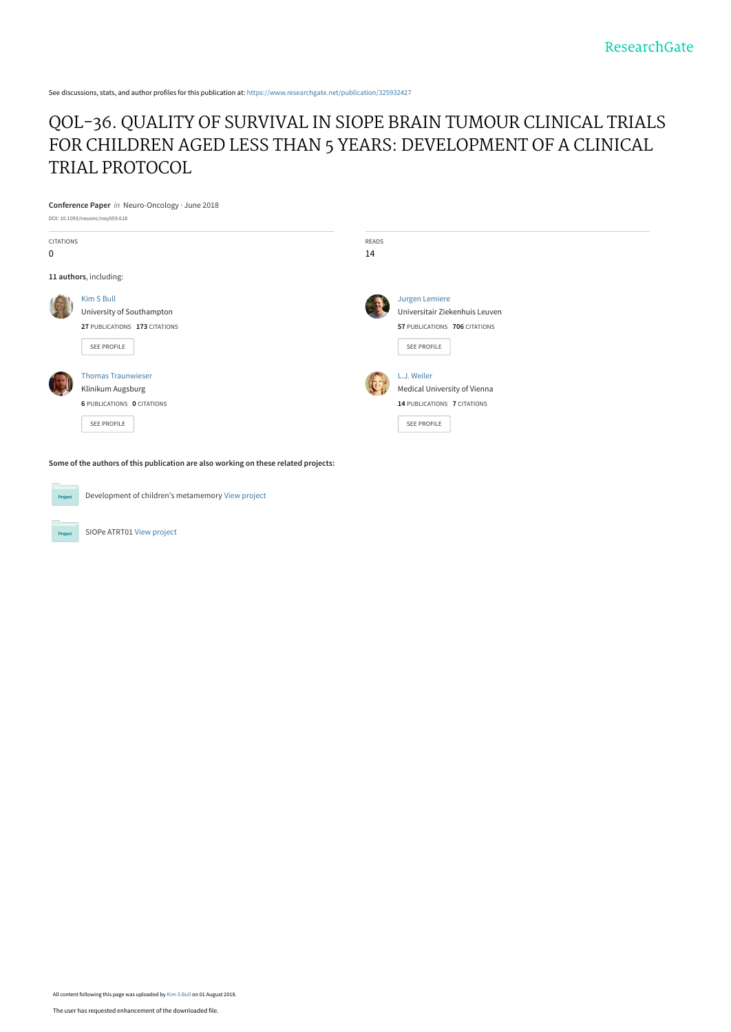See discussions, stats, and author profiles for this publication at: [https://www.researchgate.net/publication/325932427](https://www.researchgate.net/publication/325932427_QOL-36_QUALITY_OF_SURVIVAL_IN_SIOPE_BRAIN_TUMOUR_CLINICAL_TRIALS_FOR_CHILDREN_AGED_LESS_THAN_5_YEARS_DEVELOPMENT_OF_A_CLINICAL_TRIAL_PROTOCOL?enrichId=rgreq-f7b9f2654464dc0ab111402b7bfc333d-XXX&enrichSource=Y292ZXJQYWdlOzMyNTkzMjQyNztBUzo2NTQ4MTM3ODgzNzcwOTBAMTUzMzEzMTE4MTg2Mg%3D%3D&el=1_x_2&_esc=publicationCoverPdf)

#### [QOL-36. QUALITY OF SURVIVAL IN SIOPE BRAIN TUMOUR CLINICAL TRIALS](https://www.researchgate.net/publication/325932427_QOL-36_QUALITY_OF_SURVIVAL_IN_SIOPE_BRAIN_TUMOUR_CLINICAL_TRIALS_FOR_CHILDREN_AGED_LESS_THAN_5_YEARS_DEVELOPMENT_OF_A_CLINICAL_TRIAL_PROTOCOL?enrichId=rgreq-f7b9f2654464dc0ab111402b7bfc333d-XXX&enrichSource=Y292ZXJQYWdlOzMyNTkzMjQyNztBUzo2NTQ4MTM3ODgzNzcwOTBAMTUzMzEzMTE4MTg2Mg%3D%3D&el=1_x_3&_esc=publicationCoverPdf) FOR CHILDREN AGED LESS THAN 5 YEARS: DEVELOPMENT OF A CLINICAL TRIAL PROTOCOL

**Conference Paper** in Neuro-Oncology · June 2018 DOI: 10.1093/neuonc/noy059.618

| <b>CITATIONS</b><br>$\mathbf 0$ |                                                                                                    | READS<br>14 |                                                                                                  |
|---------------------------------|----------------------------------------------------------------------------------------------------|-------------|--------------------------------------------------------------------------------------------------|
|                                 | 11 authors, including:                                                                             |             |                                                                                                  |
|                                 | Kim S Bull<br>University of Southampton<br>27 PUBLICATIONS 173 CITATIONS<br>SEE PROFILE            |             | Jurgen Lemiere<br>Universitair Ziekenhuis Leuven<br>57 PUBLICATIONS 706 CITATIONS<br>SEE PROFILE |
|                                 | <b>Thomas Traunwieser</b><br>Klinikum Augsburg<br><b>6 PUBLICATIONS O CITATIONS</b><br>SEE PROFILE |             | L.J. Weiler<br>Medical University of Vienna<br>14 PUBLICATIONS 7 CITATIONS<br><b>SEE PROFILE</b> |

**Some of the authors of this publication are also working on these related projects:**

Project

Development of children's metamemory [View project](https://www.researchgate.net/project/Development-of-childrens-metamemory?enrichId=rgreq-f7b9f2654464dc0ab111402b7bfc333d-XXX&enrichSource=Y292ZXJQYWdlOzMyNTkzMjQyNztBUzo2NTQ4MTM3ODgzNzcwOTBAMTUzMzEzMTE4MTg2Mg%3D%3D&el=1_x_9&_esc=publicationCoverPdf)

SIOPe ATRT01 [View project](https://www.researchgate.net/project/SIOPe-ATRT01?enrichId=rgreq-f7b9f2654464dc0ab111402b7bfc333d-XXX&enrichSource=Y292ZXJQYWdlOzMyNTkzMjQyNztBUzo2NTQ4MTM3ODgzNzcwOTBAMTUzMzEzMTE4MTg2Mg%3D%3D&el=1_x_9&_esc=publicationCoverPdf)